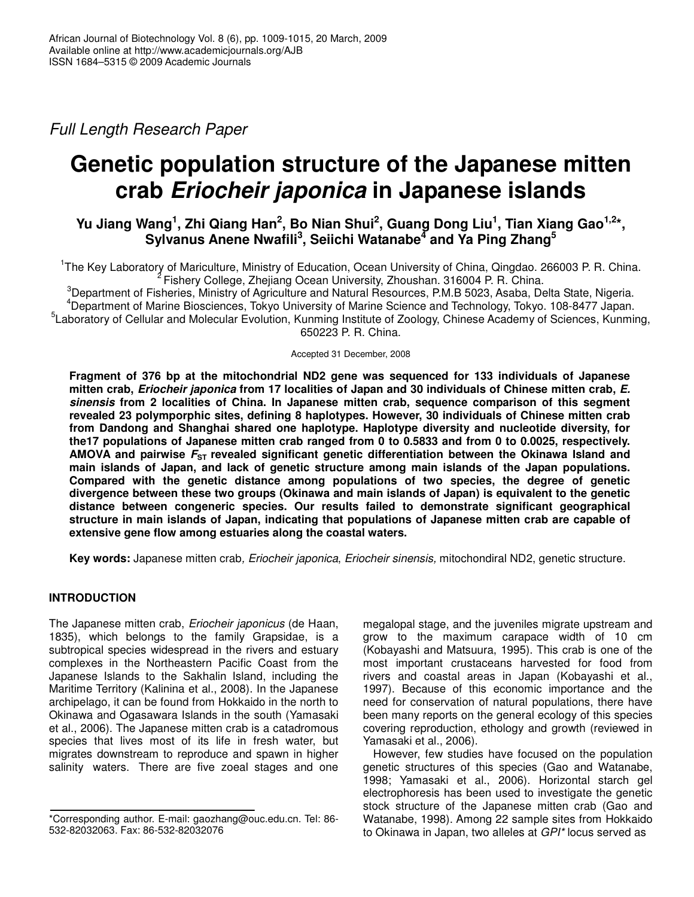*Full Length Research Paper*

# **Genetic population structure of the Japanese mitten crab** *Eriocheir japonica* **in Japanese islands**

# Yu Jiang Wang<sup>1</sup>, Zhi Qiang Han<sup>2</sup>, Bo Nian Shui<sup>2</sup>, Guang Dong Liu<sup>1</sup>, Tian Xiang Gao<sup>1,2</sup>\*, **Sylvanus Anene Nwafili 3 , Seiichi Watanabe 4 and Ya Ping Zhang 5**

<sup>1</sup>The Key Laboratory of Mariculture, Ministry of Education, Ocean University of China, Qingdao. 266003 P. R. China. <sup>2</sup> Fishery College, Zhejiang Ocean University, Zhoushan. 316004 P. R. China.

<sup>3</sup>Department of Fisheries, Ministry of Agriculture and Natural Resources, P.M.B 5023, Asaba, Delta State, Nigeria. Department of Marine Biosciences, Tokyo University of Marine Science and Technology, Tokyo. 108-8477 Japan. Laboratory of Cellular and Molecular Evolution, Kunming Institute of Zoology, Chinese Academy of Sciences, Kunming, P. R. China.

Accepted 31 December, 2008

**Fragment of 376 bp at the mitochondrial ND2 gene was sequenced for 133 individuals of Japanese mitten crab,** *Eriocheir japonica* **from 17 localities of Japan and 30 individuals of Chinese mitten crab,** *E. sinensis* **from 2 localities of China. In Japanese mitten crab, sequence comparison of this segment revealed 23 polymporphic sites, defining 8 haplotypes. However, 30 individuals of Chinese mitten crab from Dandong and Shanghai shared one haplotype. Haplotype diversity and nucleotide diversity, for the17 populations of Japanese mitten crab ranged from 0 to 0.5833 and from 0 to 0.0025, respectively. AMOVA and pairwise** *F***ST revealed significant genetic differentiation between the Okinawa Island and main islands of Japan, and lack of genetic structure among main islands of the Japan populations. Compared with the genetic distance among populations of two species, the degree of genetic divergence between these two groups (Okinawa and main islands of Japan) is equivalent to the genetic distance between congeneric species. Our results failed to demonstrate significant geographical structure in main islands of Japan, indicating that populations of Japanese mitten crab are capable of extensive gene flow among estuaries along the coastal waters.**

**Key words:** Japanese mitten crab*, Eriocheir japonica*, *Eriocheir sinensis,* mitochondiral ND2, genetic structure.

# **INTRODUCTION**

The Japanese mitten crab, *Eriocheir japonicus* (de Haan, 1835), which belongs to the family Grapsidae, is a subtropical species widespread in the rivers and estuary complexes in the Northeastern Pacific Coast from the Japanese Islands to the Sakhalin Island, including the Maritime Territory (Kalinina et al., 2008). In the Japanese archipelago, it can be found from Hokkaido in the north to Okinawa and Ogasawara Islands in the south (Yamasaki et al., 2006). The Japanese mitten crab is a catadromous species that lives most of its life in fresh water, but migrates downstream to reproduce and spawn in higher salinity waters. There are five zoeal stages and one megalopal stage, and the juveniles migrate upstream and grow to the maximum carapace width of 10 cm (Kobayashi and Matsuura, 1995). This crab is one of the most important crustaceans harvested for food from rivers and coastal areas in Japan (Kobayashi et al., 1997). Because of this economic importance and the need for conservation of natural populations, there have been many reports on the general ecology of this species covering reproduction, ethology and growth (reviewed in Yamasaki et al., 2006).

However, few studies have focused on the population genetic structures of this species (Gao and Watanabe, 1998; Yamasaki et al., 2006). Horizontal starch gel electrophoresis has been used to investigate the genetic stock structure of the Japanese mitten crab (Gao and Watanabe, 1998). Among 22 sample sites from Hokkaido to Okinawa in Japan, two alleles at *GPI\** locus served as

<sup>\*</sup>Corresponding author. E-mail: gaozhang@ouc.edu.cn. Tel: 86- 532-82032063. Fax: 86-532-82032076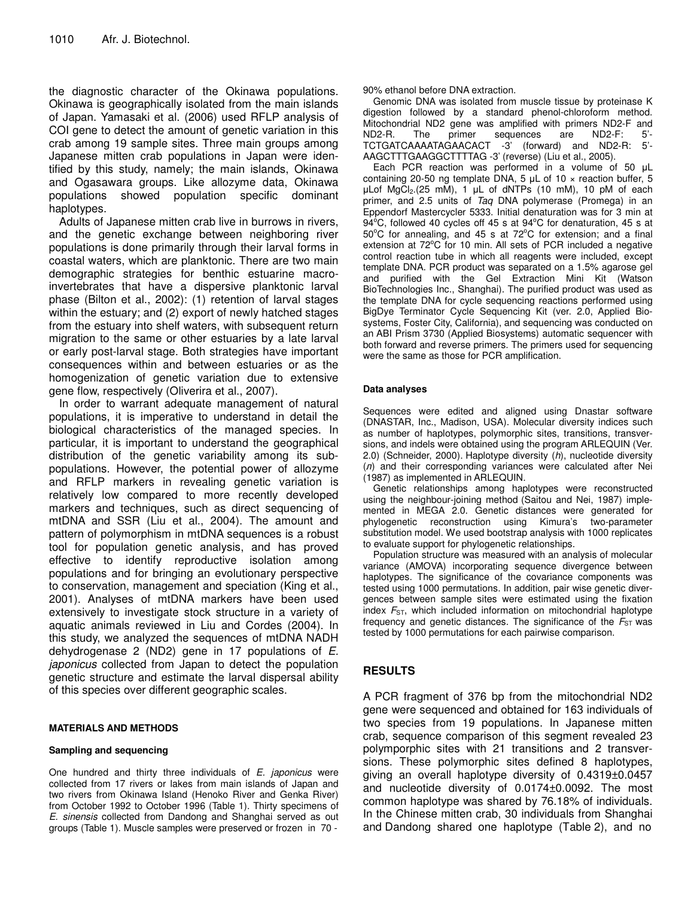the diagnostic character of the Okinawa populations. Okinawa is geographically isolated from the main islands of Japan. Yamasaki et al. (2006) used RFLP analysis of COI gene to detect the amount of genetic variation in this crab among 19 sample sites. Three main groups among Japanese mitten crab populations in Japan were identified by this study, namely; the main islands, Okinawa and Ogasawara groups. Like allozyme data, Okinawa populations showed population specific dominant haplotypes.

Adults of Japanese mitten crab live in burrows in rivers, and the genetic exchange between neighboring river populations is done primarily through their larval forms in coastal waters, which are planktonic. There are two main demographic strategies for benthic estuarine macroinvertebrates that have a dispersive planktonic larval phase (Bilton et al., 2002): (1) retention of larval stages within the estuary; and (2) export of newly hatched stages from the estuary into shelf waters, with subsequent return migration to the same or other estuaries by a late larval or early post-larval stage. Both strategies have important consequences within and between estuaries or as the homogenization of genetic variation due to extensive gene flow, respectively (Oliverira et al., 2007).

In order to warrant adequate management of natural populations, it is imperative to understand in detail the biological characteristics of the managed species. In particular, it is important to understand the geographical distribution of the genetic variability among its subpopulations. However, the potential power of allozyme and RFLP markers in revealing genetic variation is relatively low compared to more recently developed markers and techniques, such as direct sequencing of mtDNA and SSR (Liu et al., 2004). The amount and pattern of polymorphism in mtDNA sequences is a robust tool for population genetic analysis, and has proved effective to identify reproductive isolation among populations and for bringing an evolutionary perspective to conservation, management and speciation (King et al., 2001). Analyses of mtDNA markers have been used extensively to investigate stock structure in a variety of aquatic animals reviewed in Liu and Cordes (2004). In this study, we analyzed the sequences of mtDNA NADH dehydrogenase 2 (ND2) gene in 17 populations of *E. japonicus* collected from Japan to detect the population genetic structure and estimate the larval dispersal ability of this species over different geographic scales.

#### **MATERIALS AND METHODS**

#### **Sampling and sequencing**

One hundred and thirty three individuals of *E. japonicus* were collected from 17 rivers or lakes from main islands of Japan and two rivers from Okinawa Island (Henoko River and Genka River) from October 1992 to October 1996 (Table 1). Thirty specimens of *E. sinensis* collected from Dandong and Shanghai served as out groups (Table 1). Muscle samples were preserved or frozen in 70 -

90% ethanol before DNA extraction.

Genomic DNA was isolated from muscle tissue by proteinase K digestion followed by a standard phenol-chloroform method. Mitochondrial ND2 gene was amplified with primers ND2-F and ND2-R. The primer sequences are ND2-F: 5'- TCTGATCAAAATAGAACACT -3' (forward) and ND2-R: 5'- AAGCTTTGAAGGCTTTTAG -3' (reverse) (Liu et al., 2005).

Each PCR reaction was performed in a volume of 50 µL containing 20-50 ng template DNA, 5  $\mu$ L of 10  $\times$  reaction buffer, 5  $\mu$ Lof MgCl<sub>2</sub>.(25 mM), 1  $\mu$ L of dNTPs (10 mM), 10 pM of each primer, and 2.5 units of *Taq* DNA polymerase (Promega) in an Eppendorf Mastercycler 5333. Initial denaturation was for 3 min at  $94^{\circ}$ C, followed 40 cycles off 45 s at 94 $^{\circ}$ C for denaturation, 45 s at  $50^{\circ}$ C for annealing, and 45 s at 72 $^{\circ}$ C for extension; and a final extension at 72°C for 10 min. All sets of PCR included a negative control reaction tube in which all reagents were included, except template DNA. PCR product was separated on a 1.5% agarose gel and purified with the Gel Extraction Mini Kit (Watson BioTechnologies Inc., Shanghai). The purified product was used as the template DNA for cycle sequencing reactions performed using BigDye Terminator Cycle Sequencing Kit (ver. 2.0, Applied Biosystems, Foster City, California), and sequencing was conducted on an ABI Prism 3730 (Applied Biosystems) automatic sequencer with both forward and reverse primers. The primers used for sequencing were the same as those for PCR amplification.

#### **Data analyses**

Sequences were edited and aligned using Dnastar software (DNASTAR, Inc., Madison, USA). Molecular diversity indices such as number of haplotypes, polymorphic sites, transitions, transversions, and indels were obtained using the program ARLEQUIN (Ver. 2.0) (Schneider, 2000). Haplotype diversity (*h*), nucleotide diversity  $(n)$  and their corresponding variances were calculated after Nei (1987) as implemented in ARLEQUIN.

Genetic relationships among haplotypes were reconstructed using the neighbour-joining method (Saitou and Nei, 1987) implemented in MEGA 2.0. Genetic distances were generated for phylogenetic reconstruction using Kimura's two-parameter substitution model. We used bootstrap analysis with 1000 replicates to evaluate support for phylogenetic relationships.

Population structure was measured with an analysis of molecular variance (AMOVA) incorporating sequence divergence between haplotypes. The significance of the covariance components was tested using 1000 permutations. In addition, pair wise genetic divergences between sample sites were estimated using the fixation index  $F_{ST}$ , which included information on mitochondrial haplotype frequency and genetic distances. The significance of the  $F_{ST}$  was tested by 1000 permutations for each pairwise comparison.

### **RESULTS**

A PCR fragment of 376 bp from the mitochondrial ND2 gene were sequenced and obtained for 163 individuals of two species from 19 populations. In Japanese mitten crab, sequence comparison of this segment revealed 23 polymporphic sites with 21 transitions and 2 transversions. These polymorphic sites defined 8 haplotypes, giving an overall haplotype diversity of 0.4319±0.0457 and nucleotide diversity of 0.0174±0.0092. The most common haplotype was shared by 76.18% of individuals. In the Chinese mitten crab, 30 individuals from Shanghai and Dandong shared one haplotype (Table 2), and no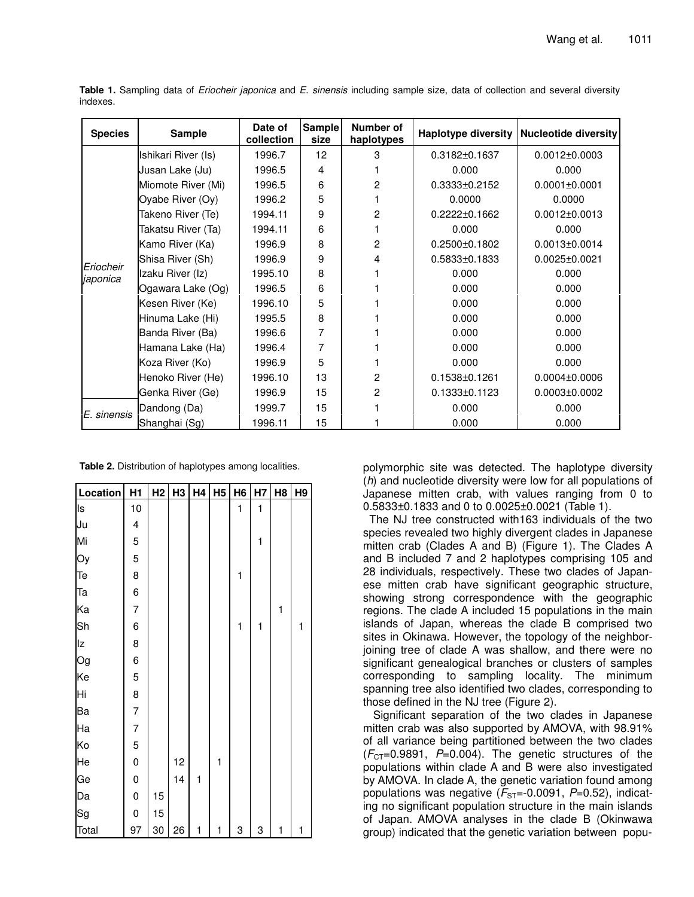| <b>Species</b> | <b>Sample</b>       | Date of<br>collection | Sample<br>size  | Number of<br>haplotypes |                     | Haplotype diversity Nucleotide diversity |  |  |
|----------------|---------------------|-----------------------|-----------------|-------------------------|---------------------|------------------------------------------|--|--|
|                | Ishikari River (Is) | 1996.7                | 12 <sup>2</sup> | 3                       | $0.3182 \pm 0.1637$ | $0.0012 \pm 0.0003$                      |  |  |
|                | Jusan Lake (Ju)     | 1996.5                | 4               |                         | 0.000               | 0.000                                    |  |  |
|                | Miomote River (Mi)  | 1996.5                | 6               | 2                       | $0.3333 \pm 0.2152$ | $0.0001 \pm 0.0001$                      |  |  |
|                | Oyabe River (Oy)    | 1996.2                | 5               |                         | 0.0000              | 0.0000                                   |  |  |
|                | Takeno River (Te)   | 1994.11               | 9               | 2                       | $0.2222 \pm 0.1662$ | $0.0012 \pm 0.0013$                      |  |  |
|                | Takatsu River (Ta)  | 1994.11               | 6               |                         | 0.000               | 0.000                                    |  |  |
|                | Kamo River (Ka)     | 1996.9                | 8               | 2                       | $0.2500 \pm 0.1802$ | $0.0013 \pm 0.0014$                      |  |  |
| Eriocheir      | Shisa River (Sh)    | 1996.9                | 9               | 4                       | $0.5833\pm0.1833$   | $0.0025 \pm 0.0021$                      |  |  |
| japonica       | Izaku River (Iz)    | 1995.10               | 8               |                         | 0.000               | 0.000                                    |  |  |
|                | Ogawara Lake (Og)   | 1996.5                | 6               |                         | 0.000               | 0.000                                    |  |  |
|                | Kesen River (Ke)    | 1996.10               | 5               |                         | 0.000               | 0.000                                    |  |  |
|                | Hinuma Lake (Hi)    | 1995.5                | 8               |                         | 0.000               | 0.000                                    |  |  |
|                | Banda River (Ba)    | 1996.6                | 7               |                         | 0.000               | 0.000                                    |  |  |
|                | Hamana Lake (Ha)    | 1996.4                | 7               |                         | 0.000               | 0.000                                    |  |  |
|                | Koza River (Ko)     | 1996.9                | 5               |                         | 0.000               | 0.000                                    |  |  |
|                | Henoko River (He)   | 1996.10               | 13              | 2                       | $0.1538 \pm 0.1261$ | $0.0004 \pm 0.0006$                      |  |  |
|                | Genka River (Ge)    | 1996.9                | 15              | 2                       | $0.1333 \pm 0.1123$ | $0.0003 \pm 0.0002$                      |  |  |
| E. sinensis    | Dandong (Da)        | 1999.7                | 15              |                         | 0.000               | 0.000                                    |  |  |
|                | Shanghai (Sg)       | 1996.11               | 15              |                         | 0.000               | 0.000                                    |  |  |

**Table 1.** Sampling data of *Eriocheir japonica* and *E. sinensis* including sample size, data of collection and several diversity indexes.

**Table 2.** Distribution of haplotypes among localities.

| Location | H1             | H <sub>2</sub> | H <sub>3</sub> | H4           | H <sub>5</sub> | H <sub>6</sub> | H7           | H <sub>8</sub> | H9           |
|----------|----------------|----------------|----------------|--------------|----------------|----------------|--------------|----------------|--------------|
| Is       | 10             |                |                |              |                | $\mathbf{1}$   | $\mathbf{1}$ |                |              |
| Ju       | 4              |                |                |              |                |                |              |                |              |
| Mi       | 5              |                |                |              |                |                | $\mathbf{1}$ |                |              |
| Oy       | 5              |                |                |              |                |                |              |                |              |
| Te       | 8              |                |                |              |                | 1              |              |                |              |
| Ta       | 6              |                |                |              |                |                |              |                |              |
| Ka       | $\overline{7}$ |                |                |              |                |                |              | $\mathbf{1}$   |              |
| Sh       | 6              |                |                |              |                | 1              | 1            |                | $\mathbf{1}$ |
| Iz       | 8              |                |                |              |                |                |              |                |              |
| Og       | 6              |                |                |              |                |                |              |                |              |
| Ke       | 5              |                |                |              |                |                |              |                |              |
| Hi       | 8              |                |                |              |                |                |              |                |              |
| Ba       | $\overline{7}$ |                |                |              |                |                |              |                |              |
| Ha       | $\overline{7}$ |                |                |              |                |                |              |                |              |
| Ko       | 5              |                |                |              |                |                |              |                |              |
| He       | $\mathbf 0$    |                | 12             |              | 1              |                |              |                |              |
| Ge       | 0              |                | 14             | $\mathbf{1}$ |                |                |              |                |              |
| Da       | $\mathbf 0$    | 15             |                |              |                |                |              |                |              |
| Sg       | 0              | 15             |                |              |                |                |              |                |              |
| Total    | 97             | 30             | 26             | 1            | 1              | 3              | 3            | 1              | 1            |

polymorphic site was detected. The haplotype diversity (*h*) and nucleotide diversity were low for all populations of Japanese mitten crab, with values ranging from 0 to 0.5833±0.1833 and 0 to 0.0025±0.0021 (Table 1).

The NJ tree constructed with163 individuals of the two species revealed two highly divergent clades in Japanese mitten crab (Clades A and B) (Figure 1). The Clades A and B included 7 and 2 haplotypes comprising 105 and 28 individuals, respectively. These two clades of Japanese mitten crab have significant geographic structure, showing strong correspondence with the geographic regions. The clade A included 15 populations in the main islands of Japan, whereas the clade B comprised two sites in Okinawa. However, the topology of the neighborjoining tree of clade A was shallow, and there were no significant genealogical branches or clusters of samples corresponding to sampling locality. The minimum spanning tree also identified two clades, corresponding to those defined in the NJ tree (Figure 2).

Significant separation of the two clades in Japanese mitten crab was also supported by AMOVA, with 98.91% of all variance being partitioned between the two clades  $(F<sub>CT</sub>=0.9891, P=0.004)$ . The genetic structures of the populations within clade A and B were also investigated by AMOVA. In clade A, the genetic variation found among populations was negative  $(F_{ST}=-0.0091, P=0.52)$ , indicating no significant population structure in the main islands of Japan. AMOVA analyses in the clade B (Okinwawa group) indicated that the genetic variation between popu-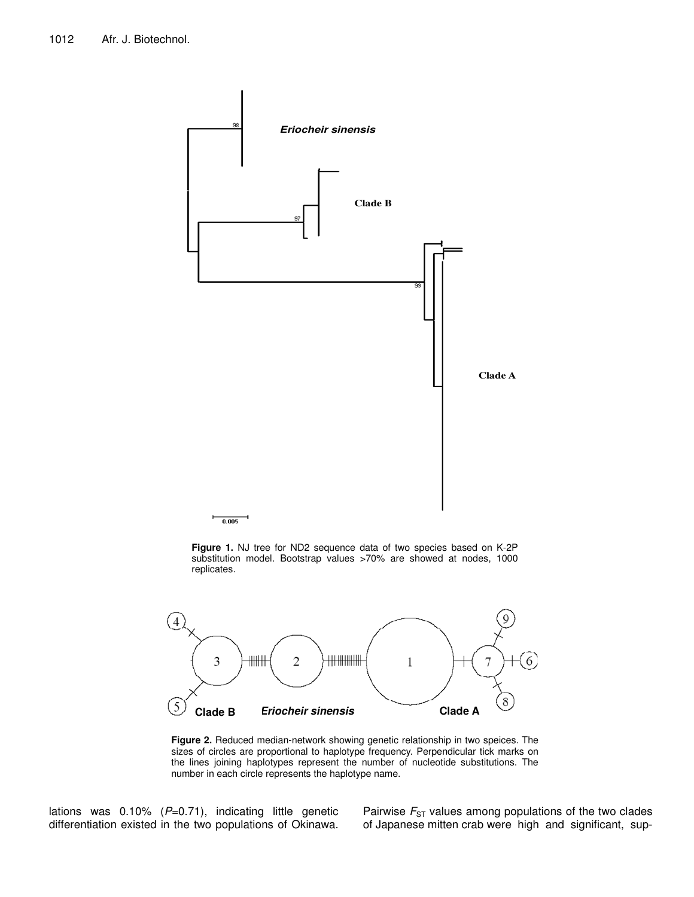

**Figure 1.** NJ tree for ND2 sequence data of two species based on K-2P substitution model. Bootstrap values >70% are showed at nodes, 1000 replicates.



**Figure 2.** Reduced median-network showing genetic relationship in two speices. The sizes of circles are proportional to haplotype frequency. Perpendicular tick marks on the lines joining haplotypes represent the number of nucleotide substitutions. The number in each circle represents the haplotype name.

lations was 0.10% (P=0.71), indicating little genetic differentiation existed in the two populations of Okinawa. Pairwise  $F_{ST}$  values among populations of the two clades of Japanese mitten crab were high and significant, sup-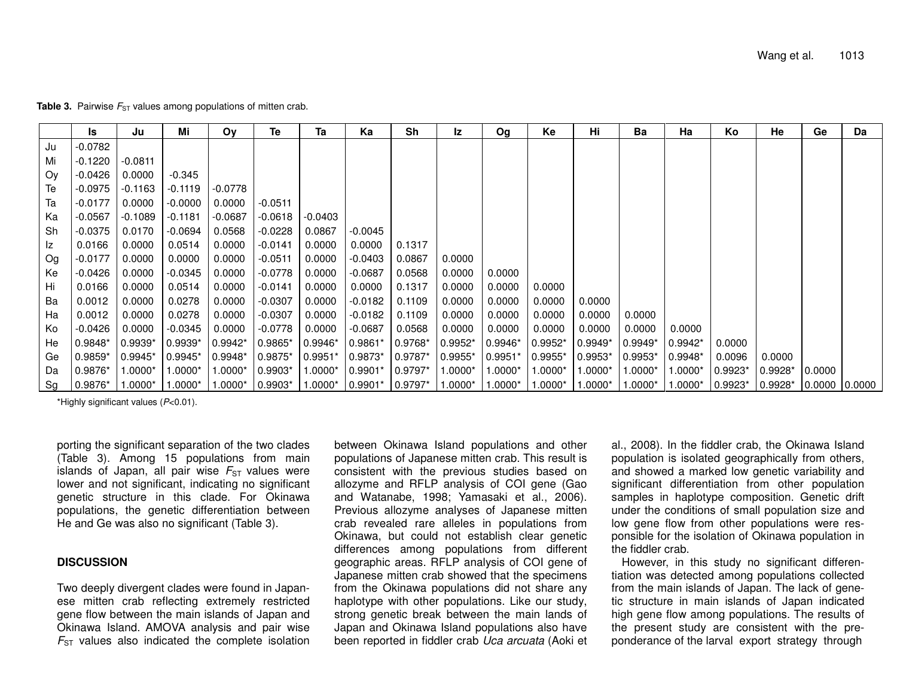|    | Is                 | Ju        | Mi         | Oν        | Te                  | Та        | Ka                                                            | Sh        | Iz        | Og        | Ke        | Hi        | Ba        | Ha        | Κo         | He                        | Ge     | Da |
|----|--------------------|-----------|------------|-----------|---------------------|-----------|---------------------------------------------------------------|-----------|-----------|-----------|-----------|-----------|-----------|-----------|------------|---------------------------|--------|----|
| Ju | -0.0782            |           |            |           |                     |           |                                                               |           |           |           |           |           |           |           |            |                           |        |    |
| Mi | $-0.1220$          | $-0.0811$ |            |           |                     |           |                                                               |           |           |           |           |           |           |           |            |                           |        |    |
| Oy | -0.0426            | 0.0000    | $-0.345$   |           |                     |           |                                                               |           |           |           |           |           |           |           |            |                           |        |    |
| Te | $-0.0975$          | $-0.1163$ | $-0.1119$  | $-0.0778$ |                     |           |                                                               |           |           |           |           |           |           |           |            |                           |        |    |
| Ta | $-0.0177$          | 0.0000    | $-0.0000$  | 0.0000    | $-0.0511$           |           |                                                               |           |           |           |           |           |           |           |            |                           |        |    |
| Ka | $-0.0567$          | $-0.1089$ | $-0.1181$  | $-0.0687$ | $-0.0618$           | -0.0403   |                                                               |           |           |           |           |           |           |           |            |                           |        |    |
| Sh | $-0.0375$          | 0.0170    | $-0.0694$  | 0.0568    | $-0.0228$           | 0.0867    | $-0.0045$                                                     |           |           |           |           |           |           |           |            |                           |        |    |
| Iz | 0.0166             | 0.0000    | 0.0514     | 0.0000    | -0.0141             | 0.0000    | 0.0000                                                        | 0.1317    |           |           |           |           |           |           |            |                           |        |    |
| Og | $-0.0177$          | 0.0000    | 0.0000     | 0.0000    | $-0.0511$           | 0.0000    | -0.0403                                                       | 0.0867    | 0.0000    |           |           |           |           |           |            |                           |        |    |
| Ke | -0.0426            | 0.0000    | $-0.0345$  | 0.0000    | -0.0778             | 0.0000    | -0.0687                                                       | 0.0568    | 0.0000    | 0.0000    |           |           |           |           |            |                           |        |    |
| Hi | 0.0166             | 0.0000    | 0.0514     | 0.0000    | -0.0141             | 0.0000    | 0.0000                                                        | 0.1317    | 0.0000    | 0.0000    | 0.0000    |           |           |           |            |                           |        |    |
| Ba | 0.0012             | 0.0000    | 0.0278     | 0.0000    | -0.0307             | 0.0000    | -0.0182                                                       | 0.1109    | 0.0000    | 0.0000    | 0.0000    | 0.0000    |           |           |            |                           |        |    |
| Ha | 0.0012             | 0.0000    | 0.0278     | 0.0000    | $-0.0307$           | 0.0000    | $-0.0182$                                                     | 0.1109    | 0.0000    | 0.0000    | 0.0000    | 0.0000    | 0.0000    |           |            |                           |        |    |
| Ko | $-0.0426$          | 0.0000    | $-0.0345$  | 0.0000    | $-0.0778$           | 0.0000    | $-0.0687$                                                     | 0.0568    | 0.0000    | 0.0000    | 0.0000    | 0.0000    | 0.0000    | 0.0000    |            |                           |        |    |
| He | $0.9848*$          | $0.9939*$ | $ 0.9939*$ | $0.9942*$ | $0.9865*$           | 0.9946*   | $0.9861*$                                                     | 0.9768*   | $0.9952*$ | $0.9946*$ | $0.9952*$ | $0.9949*$ | $0.9949*$ | $0.9942*$ | 0.0000     |                           |        |    |
| Ge | $0.9859*$          | $0.9945*$ | $0.9945*$  | $0.9948*$ | 0.9875*             | $0.9951*$ | $0.9873*$                                                     | $0.9787*$ | $0.9955*$ | $0.9951*$ | $0.9955*$ | 0.9953*   | $0.9953*$ | $0.9948*$ | 0.0096     | 0.0000                    |        |    |
| Da | 0.9876*            | $1.0000*$ | $1.0000*$  | $1.0000*$ | $0.9903*$           | $1.0000*$ | $0.9901*$                                                     | $0.9797*$ | 1.0000*   | $1.0000*$ | 1.0000*   | 1.0000*   | $1.0000*$ | *1.0000   | $0.9923*$  | $0.9928*$                 | 0.0000 |    |
| Sg | $ 0.9876* 1.0000*$ |           | $1.0000*$  |           | $1.0000*$   0.9903* | $1.0000*$ | $\vert 0.9901^* \vert 0.9797^* \vert 1.0000^* \vert 1.0000^*$ |           |           |           | $1.0000*$ | $1.0000*$ | $1.0000*$ | $1.0000*$ | $ 0.9923*$ | $ 0.9928^* 0.0000 0.0000$ |        |    |

**Table 3.** Pairwise  $F_{ST}$  values among populations of mitten crab.

\*Highly significant values (*P*<0.01).

porting the significant separation of the two clades (Table 3). Among 15 populations from main islands of Japan, all pair wise  $\mathit{F}_{\textrm{ST}}$  values were lower and not significant, indicating no significant genetic structure in this clade. For Okinawa populations, the genetic differentiation between He and Ge was also no significant (Table 3).

#### **DISCUSSION**

Two deeply divergent clades were found in Japanese mitten crab reflecting extremely restricted gene flow between the main islands of Japan and Okinawa Island. AMOVA analysis and pair wise  $\mathit{F}_{\textrm{ST}}$  values also indicated the complete isolation

between Okinawa Island populations and other populations of Japanese mitten crab. This result is consistent with the previous studies based on allozyme and RFLP analysis of COI gene (Gao and Watanabe, 1998; Yamasaki et al., 2006). Previous allozyme analyses of Japanese mitten crab revealed rare alleles in populations from Okinawa, but could not establish clear genetic differences among populations from different geographic areas. RFLP analysis of COI gene of Japanese mitten crab showed that the specimens from the Okinawa populations did not share any haplotype with other populations. Like our study, strong genetic break between the main lands of Japan and Okinawa Island populations also have been reported in fiddler crab *Uca arcuata* (Aoki et

al., 2008). In the fiddler crab, the Okinawa Island population is isolated geographically from others, and showed a marked low genetic variability and significant differentiation from other population samples in haplotype composition. Genetic drift under the conditions of small population size and low gene flow from other populations were responsible for the isolation of Okinawa population in the fiddler crab.

However, in this study no significant differentiation was detected among populations collected from the main islands of Japan. The lack of genetic structure in main islands of Japan indicated high gene flow among populations. The results of the present study are consistent with the preponderance of the larval export strategy through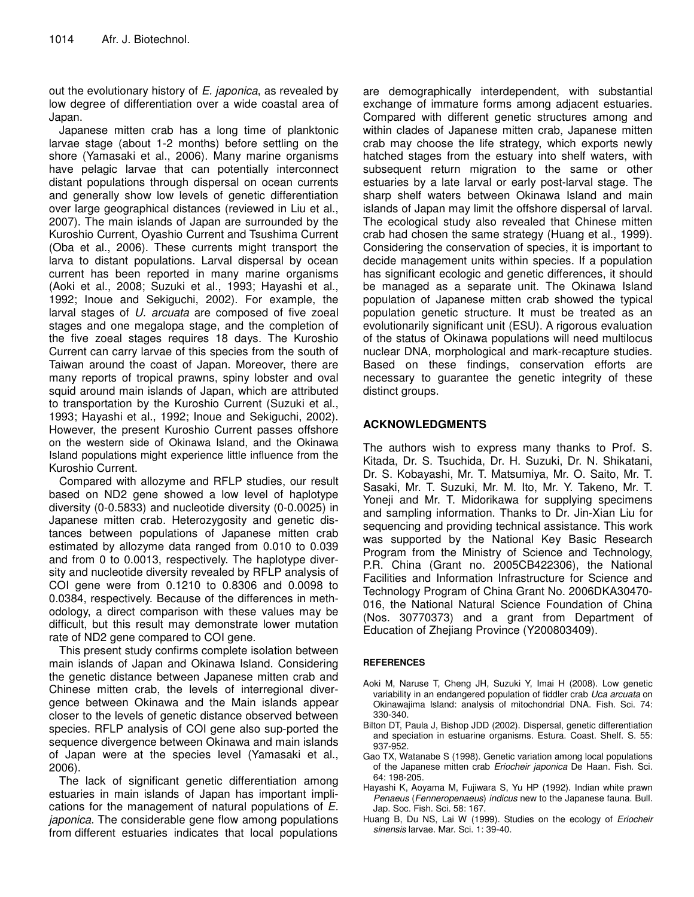out the evolutionary history of *E. japonica*, as revealed by low degree of differentiation over a wide coastal area of Japan.

Japanese mitten crab has a long time of planktonic larvae stage (about 1-2 months) before settling on the shore (Yamasaki et al., 2006). Many marine organisms have pelagic larvae that can potentially interconnect distant populations through dispersal on ocean currents and generally show low levels of genetic differentiation over large geographical distances (reviewed in Liu et al., 2007). The main islands of Japan are surrounded by the Kuroshio Current, Oyashio Current and Tsushima Current (Oba et al., 2006). These currents might transport the larva to distant populations. Larval dispersal by ocean current has been reported in many marine organisms (Aoki et al., 2008; Suzuki et al., 1993; Hayashi et al., 1992; Inoue and Sekiguchi, 2002). For example, the larval stages of *U. arcuata* are composed of five zoeal stages and one megalopa stage, and the completion of the five zoeal stages requires 18 days. The Kuroshio Current can carry larvae of this species from the south of Taiwan around the coast of Japan. Moreover, there are many reports of tropical prawns, spiny lobster and oval squid around main islands of Japan, which are attributed to transportation by the Kuroshio Current (Suzuki et al., 1993; Hayashi et al., 1992; Inoue and Sekiguchi, 2002). However, the present Kuroshio Current passes offshore on the western side of Okinawa Island, and the Okinawa Island populations might experience little influence from the Kuroshio Current.

Compared with allozyme and RFLP studies, our result based on ND2 gene showed a low level of haplotype diversity (0-0.5833) and nucleotide diversity (0-0.0025) in Japanese mitten crab. Heterozygosity and genetic distances between populations of Japanese mitten crab estimated by allozyme data ranged from 0.010 to 0.039 and from 0 to 0.0013, respectively. The haplotype diversity and nucleotide diversity revealed by RFLP analysis of COI gene were from 0.1210 to 0.8306 and 0.0098 to 0.0384, respectively. Because of the differences in methodology, a direct comparison with these values may be difficult, but this result may demonstrate lower mutation rate of ND2 gene compared to COI gene.

This present study confirms complete isolation between main islands of Japan and Okinawa Island. Considering the genetic distance between Japanese mitten crab and Chinese mitten crab, the levels of interregional divergence between Okinawa and the Main islands appear closer to the levels of genetic distance observed between species. RFLP analysis of COI gene also sup-ported the sequence divergence between Okinawa and main islands of Japan were at the species level (Yamasaki et al., 2006).

The lack of significant genetic differentiation among estuaries in main islands of Japan has important implications for the management of natural populations of *E. japonica*. The considerable gene flow among populations from different estuaries indicates that local populations

are demographically interdependent, with substantial exchange of immature forms among adjacent estuaries. Compared with different genetic structures among and within clades of Japanese mitten crab, Japanese mitten crab may choose the life strategy, which exports newly hatched stages from the estuary into shelf waters, with subsequent return migration to the same or other estuaries by a late larval or early post-larval stage. The sharp shelf waters between Okinawa Island and main islands of Japan may limit the offshore dispersal of larval. The ecological study also revealed that Chinese mitten crab had chosen the same strategy (Huang et al., 1999). Considering the conservation of species, it is important to decide management units within species. If a population has significant ecologic and genetic differences, it should be managed as a separate unit. The Okinawa Island population of Japanese mitten crab showed the typical population genetic structure. It must be treated as an evolutionarily significant unit (ESU). A rigorous evaluation of the status of Okinawa populations will need multilocus nuclear DNA, morphological and mark-recapture studies. Based on these findings, conservation efforts are necessary to guarantee the genetic integrity of these distinct groups.

# **ACKNOWLEDGMENTS**

The authors wish to express many thanks to Prof. S. Kitada, Dr. S. Tsuchida, Dr. H. Suzuki, Dr. N. Shikatani, Dr. S. Kobayashi, Mr. T. Matsumiya, Mr. O. Saito, Mr. T. Sasaki, Mr. T. Suzuki, Mr. M. Ito, Mr. Y. Takeno, Mr. T. Yoneji and Mr. T. Midorikawa for supplying specimens and sampling information. Thanks to Dr. Jin-Xian Liu for sequencing and providing technical assistance. This work was supported by the National Key Basic Research Program from the Ministry of Science and Technology, P.R. China (Grant no. 2005CB422306), the National Facilities and Information Infrastructure for Science and Technology Program of China Grant No. 2006DKA30470- 016, the National Natural Science Foundation of China (Nos. 30770373) and a grant from Department of Education of Zhejiang Province (Y200803409).

#### **REFERENCES**

- Aoki M, Naruse T, Cheng JH, Suzuki Y, Imai H (2008). Low genetic variability in an endangered population of fiddler crab *Uca arcuata* on Okinawajima Island: analysis of mitochondrial DNA. Fish. Sci. 74: 330-340.
- Bilton DT, Paula J, Bishop JDD (2002). Dispersal, genetic differentiation and speciation in estuarine organisms. Estura. Coast. Shelf. S. 55: 937-952.
- Gao TX, Watanabe S (1998). Genetic variation among local populations of the Japanese mitten crab *Eriocheir japonica* De Haan. Fish. Sci. 64: 198-205.
- Hayashi K, Aoyama M, Fujiwara S, Yu HP (1992). Indian white prawn *Penaeus* (*Fenneropenaeus*) *indicus* new to the Japanese fauna. Bull. Jap. Soc. Fish. Sci. 58: 167.
- Huang B, Du NS, Lai W (1999). Studies on the ecology of *Eriocheir sinensis* larvae. Mar. Sci. 1: 39-40.